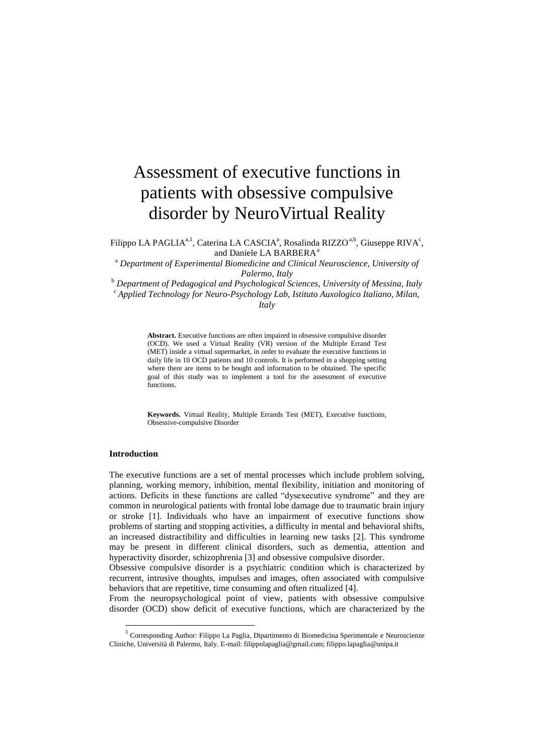# Assessment of executive functions in patients with obsessive compulsive disorder by NeuroVirtual Reality

Filippo LA PAGLIA<sup>a, 1</sup>, Caterina LA CASCIA<sup>a</sup>, Rosalinda RIZZO<sup>a,b</sup>, Giuseppe RIVA<sup>c</sup>, and Daniele LA BARBERA<sup>a</sup>

<sup>a</sup> *Department of Experimental Biomedicine and Clinical Neuroscience, University of Palermo, Italy*

<sup>b</sup> *Department of Pedagogical and Psychological Sciences, University of Messina, Italy* <sup>c</sup>*Applied Technology for Neuro-Psychology Lab, Istituto Auxologico Italiano, Milan, Italy*

> **Abstract.** Executive functions are often impaired in obsessive compulsive disorder (OCD). We used a Virtual Reality (VR) version of the Multiple Errand Test (MET) inside a virtual supermarket, in order to evaluate the executive functions in daily life in 10 OCD patients and 10 controls. It is performed in a shopping setting where there are items to be bought and information to be obtained. The specific goal of this study was to implement a tool for the assessment of executive functions.

> **Keywords.** Virtual Reality, Multiple Errands Test (MET), Executive functions, Obsessive-compulsive Disorder

#### **Introduction**

-

The executive functions are a set of mental processes which include problem solving, planning, working memory, inhibition, mental flexibility, initiation and monitoring of actions. Deficits in these functions are called "dysexecutive syndrome" and they are common in neurological patients with frontal lobe damage due to traumatic brain injury or stroke [1]. Individuals who have an impairment of executive functions show problems of starting and stopping activities, a difficulty in mental and behavioral shifts, an increased distractibility and difficulties in learning new tasks [2]. This syndrome may be present in different clinical disorders, such as dementia, attention and hyperactivity disorder, schizophrenia [3] and obsessive compulsive disorder.

Obsessive compulsive disorder is a psychiatric condition which is characterized by recurrent, intrusive thoughts, impulses and images, often associated with compulsive behaviors that are repetitive, time consuming and often ritualized [4].

From the neuropsychological point of view, patients with obsessive compulsive disorder (OCD) show deficit of executive functions, which are characterized by the

<sup>&</sup>lt;sup>1</sup> Corresponding Author: Filippo La Paglia, Dipartimento di Biomedicina Sperimentale e Neuroscienze Cliniche, Università di Palermo, Italy. E-mail: filippolapaglia@gmail.com; filippo.lapaglia@unipa.it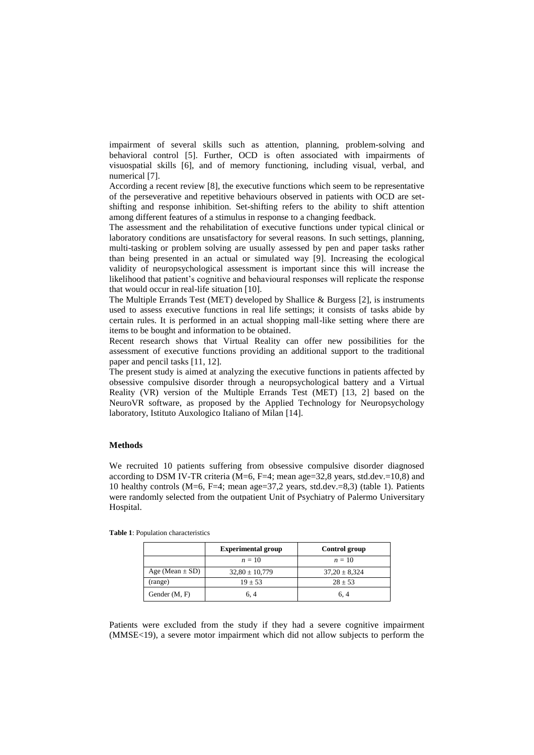impairment of several skills such as attention, planning, problem-solving and behavioral control [5]. Further, OCD is often associated with impairments of visuospatial skills [6], and of memory functioning, including visual, verbal, and numerical [7].

According a recent review [8], the executive functions which seem to be representative of the perseverative and repetitive behaviours observed in patients with OCD are setshifting and response inhibition. Set-shifting refers to the ability to shift attention among different features of a stimulus in response to a changing feedback.

The assessment and the rehabilitation of executive functions under typical clinical or laboratory conditions are unsatisfactory for several reasons. In such settings, planning, multi-tasking or problem solving are usually assessed by pen and paper tasks rather than being presented in an actual or simulated way [9]. Increasing the ecological validity of neuropsychological assessment is important since this will increase the likelihood that patient's cognitive and behavioural responses will replicate the response that would occur in real-life situation [10].

The Multiple Errands Test (MET) developed by Shallice & Burgess [2], is instruments used to assess executive functions in real life settings; it consists of tasks abide by certain rules. It is performed in an actual shopping mall-like setting where there are items to be bought and information to be obtained.

Recent research shows that Virtual Reality can offer new possibilities for the assessment of executive functions providing an additional support to the traditional paper and pencil tasks [11, 12].

The present study is aimed at analyzing the executive functions in patients affected by obsessive compulsive disorder through a neuropsychological battery and a Virtual Reality (VR) version of the Multiple Errands Test (MET) [13, 2] based on the NeuroVR software, as proposed by the Applied Technology for Neuropsychology laboratory, Istituto Auxologico Italiano of Milan [14].

#### **Methods**

We recruited 10 patients suffering from obsessive compulsive disorder diagnosed according to DSM IV-TR criteria (M=6, F=4; mean age=32,8 years, std.dev.=10,8) and 10 healthy controls (M=6, F=4; mean age=37,2 years, std.dev.=8,3) (table 1). Patients were randomly selected from the outpatient Unit of Psychiatry of Palermo Universitary Hospital.

|                     | <b>Experimental group</b> | Control group     |  |  |  |
|---------------------|---------------------------|-------------------|--|--|--|
|                     | $n=10$                    | $n=10$            |  |  |  |
| Age (Mean $\pm$ SD) | $32,80 \pm 10,779$        | $37,20 \pm 8,324$ |  |  |  |
| (range)             | $19 + 53$                 | $28 + 53$         |  |  |  |
| Gender (M, F)       | 6.4                       | 6.4               |  |  |  |

**Table 1**: Population characteristics

Patients were excluded from the study if they had a severe cognitive impairment (MMSE<19), a severe motor impairment which did not allow subjects to perform the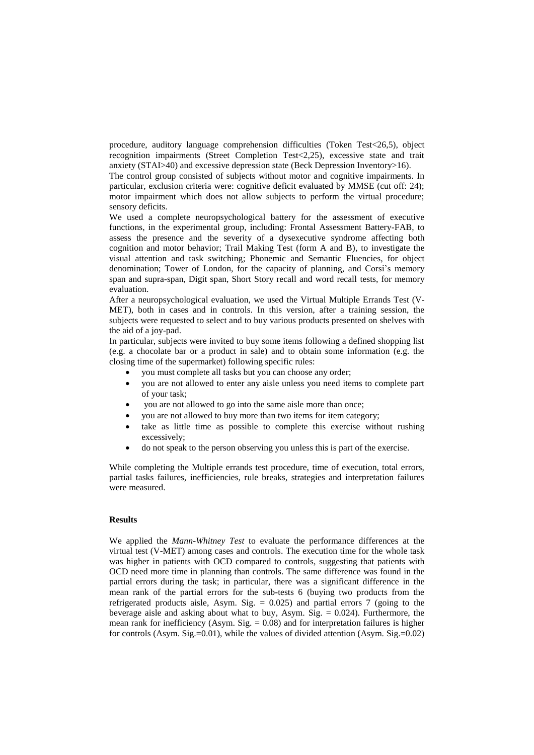procedure, auditory language comprehension difficulties (Token Test<26,5), object recognition impairments (Street Completion Test<2,25), excessive state and trait anxiety (STAI>40) and excessive depression state (Beck Depression Inventory>16).

The control group consisted of subjects without motor and cognitive impairments. In particular, exclusion criteria were: cognitive deficit evaluated by MMSE (cut off: 24); motor impairment which does not allow subjects to perform the virtual procedure; sensory deficits.

We used a complete neuropsychological battery for the assessment of executive functions, in the experimental group, including: Frontal Assessment Battery-FAB, to assess the presence and the severity of a dysexecutive syndrome affecting both cognition and motor behavior; Trail Making Test (form A and B), to investigate the [visual attention](http://en.wikipedia.org/w/index.php?title=Visual_attention&action=edit&redlink=1) and [task switching;](http://en.wikipedia.org/wiki/Task_switching_%28psychology%29) Phonemic and Semantic Fluencies, for object denomination; Tower of London, for the capacity of planning, and Corsi's memory span and supra-span, Digit span, Short Story recall and word recall tests, for memory evaluation.

After a neuropsychological evaluation, we used the Virtual Multiple Errands Test (V-MET), both in cases and in controls. In this version, after a training session, the subjects were requested to select and to buy various products presented on shelves with the aid of a joy-pad.

In particular, subjects were invited to buy some items following a defined shopping list (e.g. a chocolate bar or a product in sale) and to obtain some information (e.g. the closing time of the supermarket) following specific rules:

- you must complete all tasks but you can choose any order;
- you are not allowed to enter any aisle unless you need items to complete part of your task;
- you are not allowed to go into the same aisle more than once;
- you are not allowed to buy more than two items for item category;
- take as little time as possible to complete this exercise without rushing excessively;
- do not speak to the person observing you unless this is part of the exercise.

While completing the Multiple errands test procedure, time of execution, total errors, partial tasks failures, inefficiencies, rule breaks, strategies and interpretation failures were measured.

## **Results**

We applied the *Mann-Whitney Test* to evaluate the performance differences at the virtual test (V-MET) among cases and controls. The execution time for the whole task was higher in patients with OCD compared to controls, suggesting that patients with OCD need more time in planning than controls. The same difference was found in the partial errors during the task; in particular, there was a significant difference in the mean rank of the partial errors for the sub-tests 6 (buying two products from the refrigerated products aisle, Asym. Sig. = 0.025) and partial errors 7 (going to the beverage aisle and asking about what to buy, Asym. Sig. = 0.024). Furthermore, the mean rank for inefficiency (Asym. Sig.  $= 0.08$ ) and for interpretation failures is higher for controls (Asym. Sig.=0.01), while the values of divided attention (Asym. Sig.=0.02)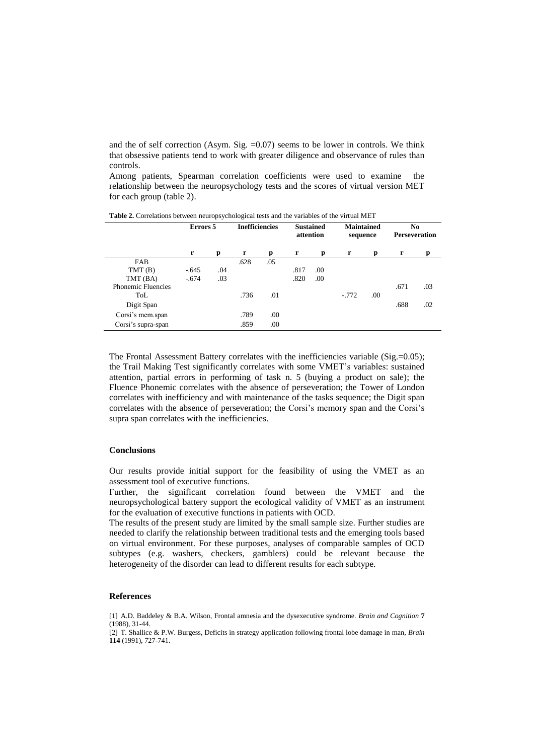and the of self correction (Asym. Sig.  $=0.07$ ) seems to be lower in controls. We think that obsessive patients tend to work with greater diligence and observance of rules than controls.

Among patients, Spearman correlation coefficients were used to examine the relationship between the neuropsychology tests and the scores of virtual version MET for each group (table 2).

|                           | Errors 5 |     | <b>Inefficiencies</b> |     | <b>Sustained</b><br>attention |     | <b>Maintained</b><br>sequence |     | No<br><b>Perseveration</b> |     |
|---------------------------|----------|-----|-----------------------|-----|-------------------------------|-----|-------------------------------|-----|----------------------------|-----|
|                           | r        | p   | r                     | p   | r                             | p   | r                             | p   | r                          | р   |
| <b>FAB</b>                |          |     | .628                  | .05 |                               |     |                               |     |                            |     |
| TMT(B)                    | $-.645$  | .04 |                       |     | .817                          | .00 |                               |     |                            |     |
| TMT (BA)                  | $-.674$  | .03 |                       |     | .820                          | .00 |                               |     |                            |     |
| <b>Phonemic Fluencies</b> |          |     |                       |     |                               |     |                               |     | .671                       | .03 |
| ToL                       |          |     | .736                  | .01 |                               |     | $-0.772$                      | .00 |                            |     |
| Digit Span                |          |     |                       |     |                               |     |                               |     | .688                       | .02 |
| Corsi's mem.span          |          |     | .789                  | .00 |                               |     |                               |     |                            |     |
| Corsi's supra-span        |          |     | .859                  | .00 |                               |     |                               |     |                            |     |

**Table 2.** Correlations between neuropsychological tests and the variables of the virtual MET

The Frontal Assessment Battery correlates with the inefficiencies variable (Sig. $=0.05$ ); the Trail Making Test significantly correlates with some VMET's variables: sustained attention, partial errors in performing of task n. 5 (buying a product on sale); the Fluence Phonemic correlates with the absence of perseveration; the Tower of London correlates with inefficiency and with maintenance of the tasks sequence; the Digit span correlates with the absence of perseveration; the Corsi's memory span and the Corsi's supra span correlates with the inefficiencies.

#### **Conclusions**

Our results provide initial support for the feasibility of using the VMET as an assessment tool of executive functions.

Further, the significant correlation found between the VMET and the neuropsychological battery support the ecological validity of VMET as an instrument for the evaluation of executive functions in patients with OCD.

The results of the present study are limited by the small sample size. Further studies are needed to clarify the relationship between traditional tests and the emerging tools based on virtual environment. For these purposes, analyses of comparable samples of OCD subtypes (e.g. washers, checkers, gamblers) could be relevant because the heterogeneity of the disorder can lead to different results for each subtype.

## **References**

[1] A.D. Baddeley & B.A. Wilson, Frontal amnesia and the dysexecutive syndrome. *Brain and Cognition* **7**  (1988), 31-44.

[2] T. Shallice & P.W. Burgess, Deficits in strategy application following frontal lobe damage in man, *Brain* **114** (1991), 727-741.